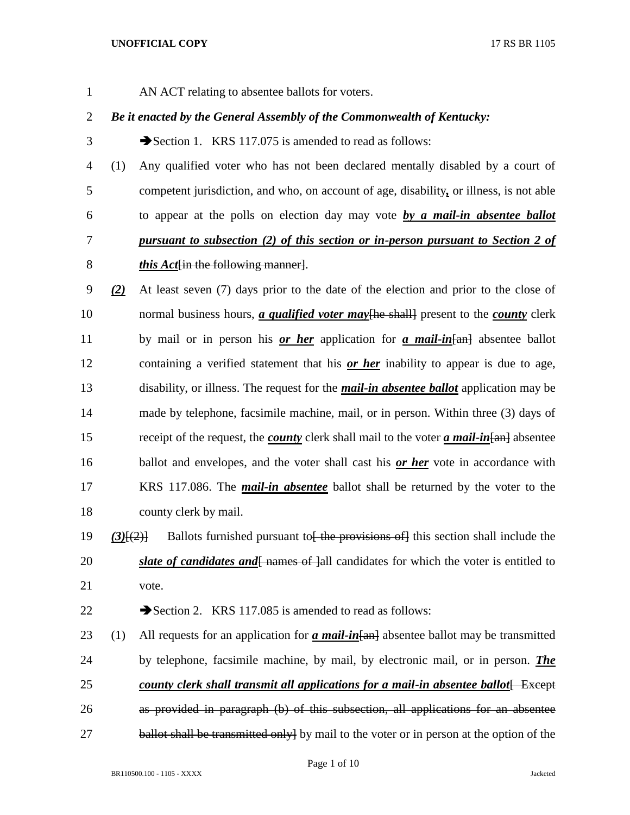- 
- AN ACT relating to absentee ballots for voters.

# *Be it enacted by the General Assembly of the Commonwealth of Kentucky:*

- 3 Section 1. KRS 117.075 is amended to read as follows:
- (1) Any qualified voter who has not been declared mentally disabled by a court of competent jurisdiction, and who, on account of age, disability*,* or illness, is not able to appear at the polls on election day may vote *by a mail-in absentee ballot pursuant to subsection (2) of this section or in-person pursuant to Section 2 of this Act*[in the following manner].
- *(2)* At least seven (7) days prior to the date of the election and prior to the close of 10 normal business hours, *a qualified voter may* [he shall] present to the *county* clerk by mail or in person his *or her* application for *a mail-in*[an] absentee ballot containing a verified statement that his *or her* inability to appear is due to age, disability, or illness. The request for the *mail-in absentee ballot* application may be made by telephone, facsimile machine, mail, or in person. Within three (3) days of receipt of the request, the *county* clerk shall mail to the voter *a mail-in*[an] absentee ballot and envelopes, and the voter shall cast his *or her* vote in accordance with KRS 117.086. The *mail-in absentee* ballot shall be returned by the voter to the county clerk by mail.
- 19 (3)<sup>[(2)]</sup> Ballots furnished pursuant to<del><sup>[</sup> the provisions of]</del> this section shall include the 20 *slate of candidates and*  $\frac{1}{2}$  names of  $\frac{1}{2}$  candidates for which the voter is entitled to vote.

22 Section 2. KRS 117.085 is amended to read as follows:

23 (1) All requests for an application for *a mail-in* [and absentee ballot may be transmitted by telephone, facsimile machine, by mail, by electronic mail, or in person. *The county clerk shall transmit all applications for a mail-in absentee ballot* Except as provided in paragraph (b) of this subsection, all applications for an absentee 27 ballot shall be transmitted only by mail to the voter or in person at the option of the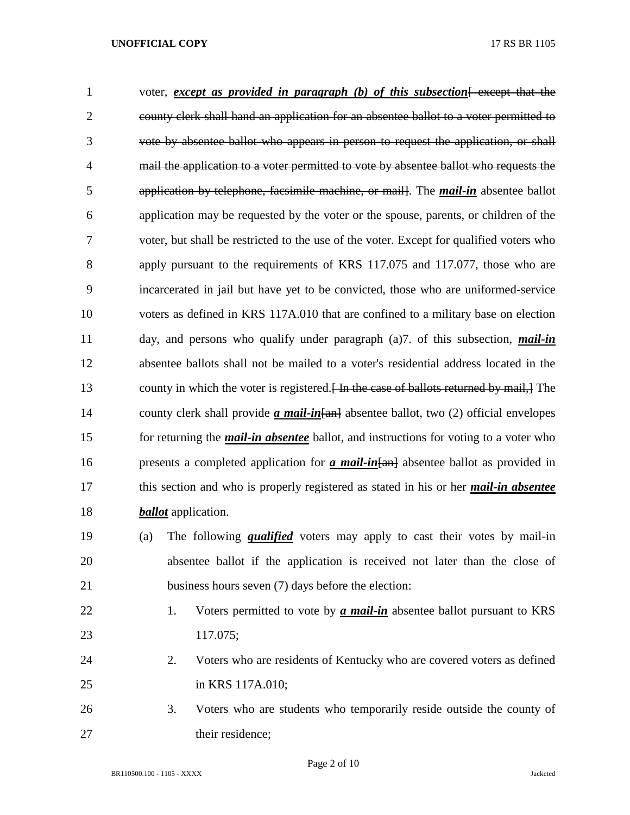| $\mathbf{1}$   | voter, <i>except as provided in paragraph (b) of this subsection</i> except that the                 |  |  |  |
|----------------|------------------------------------------------------------------------------------------------------|--|--|--|
| $\overline{2}$ | county clerk shall hand an application for an absentee ballot to a voter permitted to                |  |  |  |
| 3              | vote by absentee ballot who appears in person to request the application, or shall                   |  |  |  |
| 4              | mail the application to a voter permitted to vote by absentee ballot who requests the                |  |  |  |
| 5              | application by telephone, facsimile machine, or mail. The <i>mail-in</i> absentee ballot             |  |  |  |
| 6              | application may be requested by the voter or the spouse, parents, or children of the                 |  |  |  |
| 7              | voter, but shall be restricted to the use of the voter. Except for qualified voters who              |  |  |  |
| 8              | apply pursuant to the requirements of KRS 117.075 and 117.077, those who are                         |  |  |  |
| 9              | incarcerated in jail but have yet to be convicted, those who are uniformed-service                   |  |  |  |
| 10             | voters as defined in KRS 117A.010 that are confined to a military base on election                   |  |  |  |
| 11             | day, and persons who qualify under paragraph $(a)7$ . of this subsection, <i>mail-in</i>             |  |  |  |
| 12             | absentee ballots shall not be mailed to a voter's residential address located in the                 |  |  |  |
| 13             | county in which the voter is registered. The the case of ballots returned by mail, The               |  |  |  |
| 14             | county clerk shall provide $\alpha$ mail-in $\alpha$ absentee ballot, two (2) official envelopes     |  |  |  |
| 15             | for returning the <i>mail-in absentee</i> ballot, and instructions for voting to a voter who         |  |  |  |
| 16             | presents a completed application for $\alpha$ mail-in $\{\text{an}\}$ absentee ballot as provided in |  |  |  |
| 17             | this section and who is properly registered as stated in his or her <i>mail-in absentee</i>          |  |  |  |
| 18             | <b><i>ballot</i></b> application.                                                                    |  |  |  |
| 19             | The following <i>qualified</i> voters may apply to cast their votes by mail-in<br>(a)                |  |  |  |
| 20             | absentee ballot if the application is received not later than the close of                           |  |  |  |
| 21             | business hours seven (7) days before the election:                                                   |  |  |  |
| 22             | Voters permitted to vote by <i>a mail-in</i> absentee ballot pursuant to KRS<br>1.                   |  |  |  |
|                |                                                                                                      |  |  |  |

- 117.075;
- 2. Voters who are residents of Kentucky who are covered voters as defined
- in KRS 117A.010;
- 3. Voters who are students who temporarily reside outside the county of 27 their residence;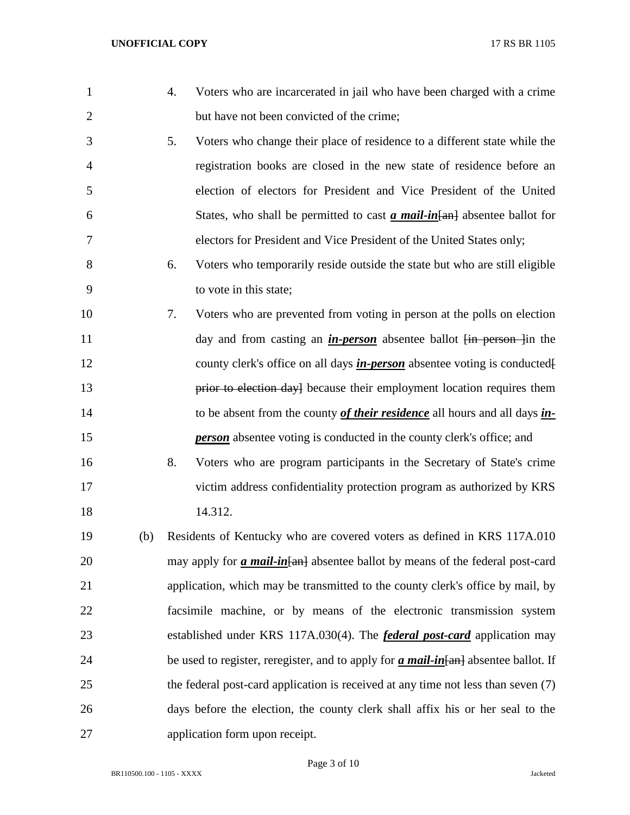| $\mathbf{1}$   |     | 4. | Voters who are incarcerated in jail who have been charged with a crime                         |
|----------------|-----|----|------------------------------------------------------------------------------------------------|
| $\overline{2}$ |     |    | but have not been convicted of the crime;                                                      |
| 3              |     | 5. | Voters who change their place of residence to a different state while the                      |
| $\overline{4}$ |     |    | registration books are closed in the new state of residence before an                          |
| 5              |     |    | election of electors for President and Vice President of the United                            |
| 6              |     |    | States, who shall be permitted to cast $\alpha$ mail-in $\{\text{an}\}$ absentee ballot for    |
| $\tau$         |     |    | electors for President and Vice President of the United States only;                           |
| 8              |     | 6. | Voters who temporarily reside outside the state but who are still eligible                     |
| 9              |     |    | to vote in this state;                                                                         |
| 10             |     | 7. | Voters who are prevented from voting in person at the polls on election                        |
| 11             |     |    | day and from casting an <i>in-person</i> absentee ballot <i>fin person fin</i> the             |
| 12             |     |    | county clerk's office on all days <i>in-person</i> absentee voting is conducted <sup>[1]</sup> |
| 13             |     |    | prior to election day] because their employment location requires them                         |
| 14             |     |    | to be absent from the county of their residence all hours and all days in-                     |
| 15             |     |    | <b>person</b> absentee voting is conducted in the county clerk's office; and                   |
| 16             |     | 8. | Voters who are program participants in the Secretary of State's crime                          |
| 17             |     |    | victim address confidentiality protection program as authorized by KRS                         |
| 18             |     |    | 14.312.                                                                                        |
| 19             | (b) |    | Residents of Kentucky who are covered voters as defined in KRS 117A.010                        |
| 20             |     |    | may apply for <i>a mail-in</i> [an] absentee ballot by means of the federal post-card          |
| 21             |     |    | application, which may be transmitted to the county clerk's office by mail, by                 |
| 22             |     |    | facsimile machine, or by means of the electronic transmission system                           |
| 23             |     |    | established under KRS 117A.030(4). The <i>federal post-card</i> application may                |
| 24             |     |    | be used to register, reregister, and to apply for <i>a mail-in</i> [an] absentee ballot. If    |
| 25             |     |    | the federal post-card application is received at any time not less than seven (7)              |
| 26             |     |    | days before the election, the county clerk shall affix his or her seal to the                  |
| 27             |     |    | application form upon receipt.                                                                 |

Page 3 of 10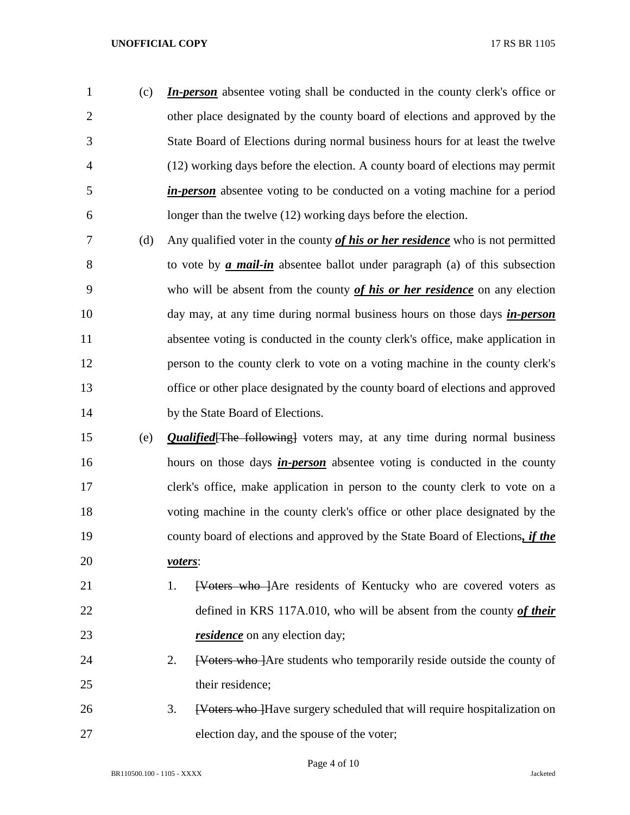(c) *In-person* absentee voting shall be conducted in the county clerk's office or other place designated by the county board of elections and approved by the State Board of Elections during normal business hours for at least the twelve (12) working days before the election. A county board of elections may permit *in-person* absentee voting to be conducted on a voting machine for a period longer than the twelve (12) working days before the election.

- (d) Any qualified voter in the county *of his or her residence* who is not permitted to vote by *a mail-in* absentee ballot under paragraph (a) of this subsection who will be absent from the county *of his or her residence* on any election day may, at any time during normal business hours on those days *in-person* absentee voting is conducted in the county clerk's office, make application in person to the county clerk to vote on a voting machine in the county clerk's office or other place designated by the county board of elections and approved 14 by the State Board of Elections.
- (e) *Qualified*[The following] voters may, at any time during normal business hours on those days *in-person* absentee voting is conducted in the county clerk's office, make application in person to the county clerk to vote on a voting machine in the county clerk's office or other place designated by the county board of elections and approved by the State Board of Elections*, if the voters*:
- 21 1. <del>[Voters who ]</del>Are residents of Kentucky who are covered voters as defined in KRS 117A.010, who will be absent from the county *of their residence* on any election day;
- 24 2. <del>[Voters who ]</del>Are students who temporarily reside outside the county of 25 their residence;
- 26 3. <del>Woters who H</del>ave surgery scheduled that will require hospitalization on election day, and the spouse of the voter;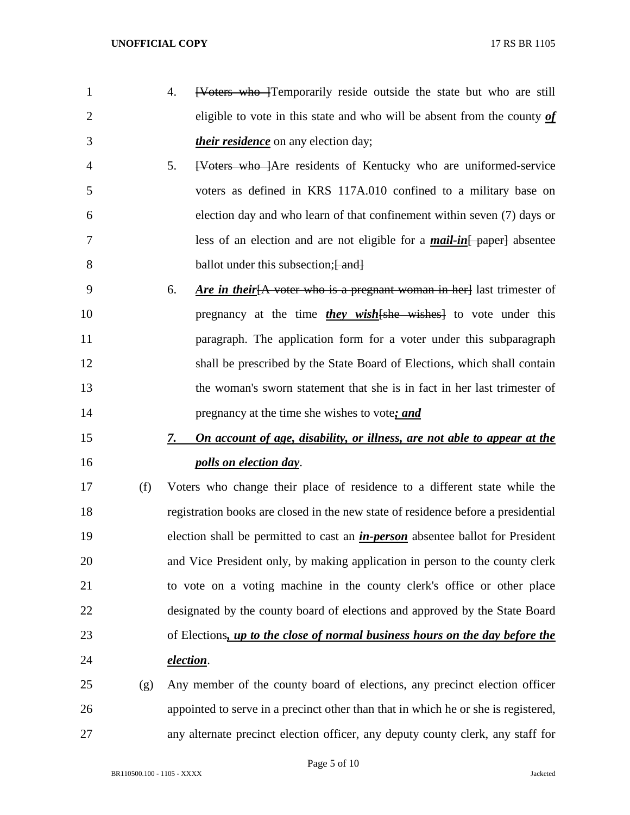- 1 4. <del>[Voters who ]</del>Temporarily reside outside the state but who are still eligible to vote in this state and who will be absent from the county *of their residence* on any election day;
- 5. [Voters who ]Are residents of Kentucky who are uniformed-service voters as defined in KRS 117A.010 confined to a military base on election day and who learn of that confinement within seven (7) days or less of an election and are not eligible for a *mail-in*[ paper] absentee 8 ballot under this subsection; [ and]
- 6. *Are in their*[A voter who is a pregnant woman in her] last trimester of 10 pregnancy at the time *they wish* [she wishes] to vote under this **paragraph.** The application form for a voter under this subparagraph shall be prescribed by the State Board of Elections, which shall contain the woman's sworn statement that she is in fact in her last trimester of pregnancy at the time she wishes to vote*; and*

# *7. On account of age, disability, or illness, are not able to appear at the polls on election day*.

 (f) Voters who change their place of residence to a different state while the registration books are closed in the new state of residence before a presidential election shall be permitted to cast an *in-person* absentee ballot for President and Vice President only, by making application in person to the county clerk to vote on a voting machine in the county clerk's office or other place designated by the county board of elections and approved by the State Board of Elections*, up to the close of normal business hours on the day before the election*.

 (g) Any member of the county board of elections, any precinct election officer appointed to serve in a precinct other than that in which he or she is registered, any alternate precinct election officer, any deputy county clerk, any staff for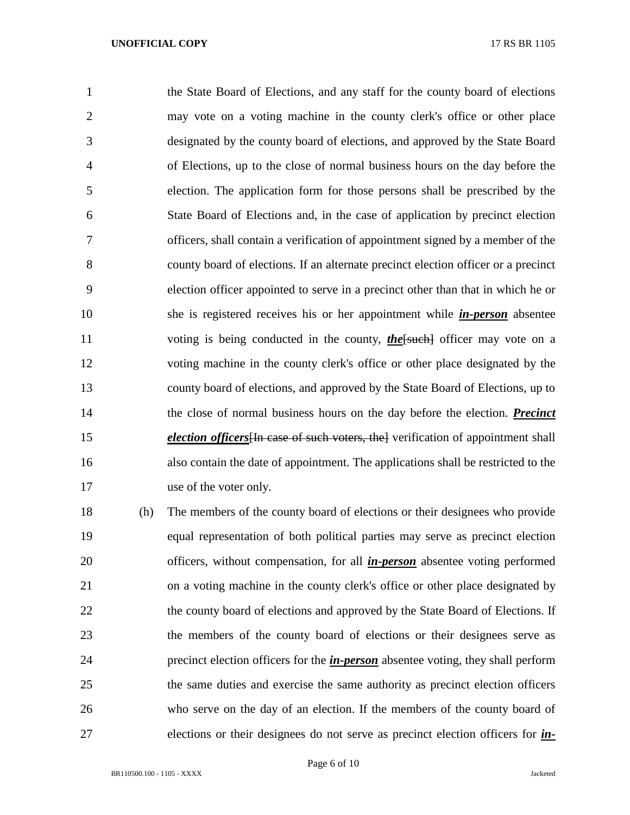the State Board of Elections, and any staff for the county board of elections may vote on a voting machine in the county clerk's office or other place designated by the county board of elections, and approved by the State Board of Elections, up to the close of normal business hours on the day before the election. The application form for those persons shall be prescribed by the State Board of Elections and, in the case of application by precinct election officers, shall contain a verification of appointment signed by a member of the county board of elections. If an alternate precinct election officer or a precinct election officer appointed to serve in a precinct other than that in which he or she is registered receives his or her appointment while *in-person* absentee 11 voting is being conducted in the county, *the*[such] officer may vote on a voting machine in the county clerk's office or other place designated by the county board of elections, and approved by the State Board of Elections, up to the close of normal business hours on the day before the election. *Precinct election officers*<sup>[In case of such voters, the] verification of appointment shall</sup> also contain the date of appointment. The applications shall be restricted to the use of the voter only.

 (h) The members of the county board of elections or their designees who provide equal representation of both political parties may serve as precinct election officers, without compensation, for all *in-person* absentee voting performed on a voting machine in the county clerk's office or other place designated by 22 the county board of elections and approved by the State Board of Elections. If the members of the county board of elections or their designees serve as precinct election officers for the *in-person* absentee voting, they shall perform the same duties and exercise the same authority as precinct election officers who serve on the day of an election. If the members of the county board of elections or their designees do not serve as precinct election officers for *in-*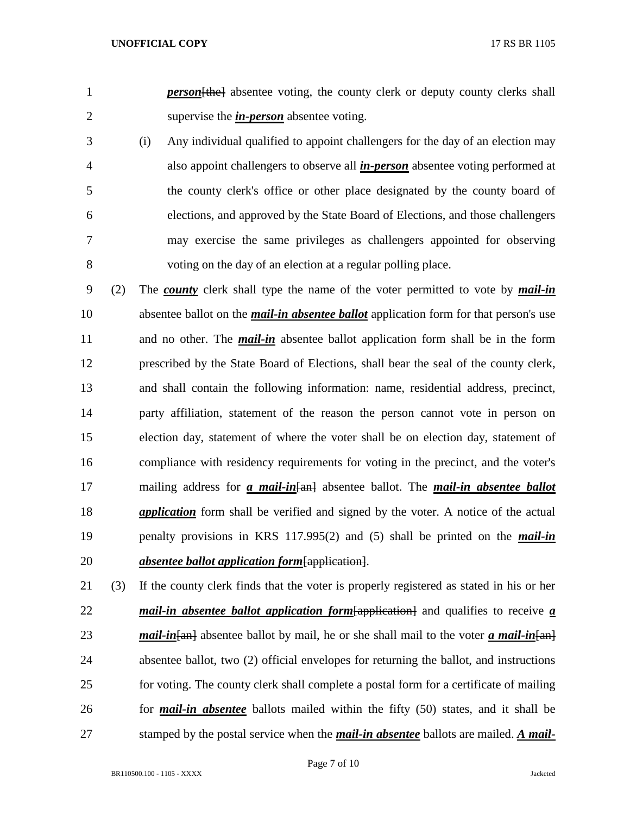1 *person* [the] absentee voting, the county clerk or deputy county clerks shall supervise the *in-person* absentee voting.

- (i) Any individual qualified to appoint challengers for the day of an election may also appoint challengers to observe all *in-person* absentee voting performed at the county clerk's office or other place designated by the county board of elections, and approved by the State Board of Elections, and those challengers may exercise the same privileges as challengers appointed for observing voting on the day of an election at a regular polling place.
- (2) The *county* clerk shall type the name of the voter permitted to vote by *mail-in* absentee ballot on the *mail-in absentee ballot* application form for that person's use and no other. The *mail-in* absentee ballot application form shall be in the form prescribed by the State Board of Elections, shall bear the seal of the county clerk, and shall contain the following information: name, residential address, precinct, party affiliation, statement of the reason the person cannot vote in person on election day, statement of where the voter shall be on election day, statement of compliance with residency requirements for voting in the precinct, and the voter's mailing address for *a mail-in*[an] absentee ballot. The *mail-in absentee ballot application* form shall be verified and signed by the voter. A notice of the actual penalty provisions in KRS 117.995(2) and (5) shall be printed on the *mail-in absentee ballot application form*[application].
- (3) If the county clerk finds that the voter is properly registered as stated in his or her *mail-in absentee ballot application form*[application] and qualifies to receive *a mail-in* [an] absentee ballot by mail, he or she shall mail to the voter *a mail-in* [an] absentee ballot, two (2) official envelopes for returning the ballot, and instructions for voting. The county clerk shall complete a postal form for a certificate of mailing for *mail-in absentee* ballots mailed within the fifty (50) states, and it shall be stamped by the postal service when the *mail-in absentee* ballots are mailed. *A mail-*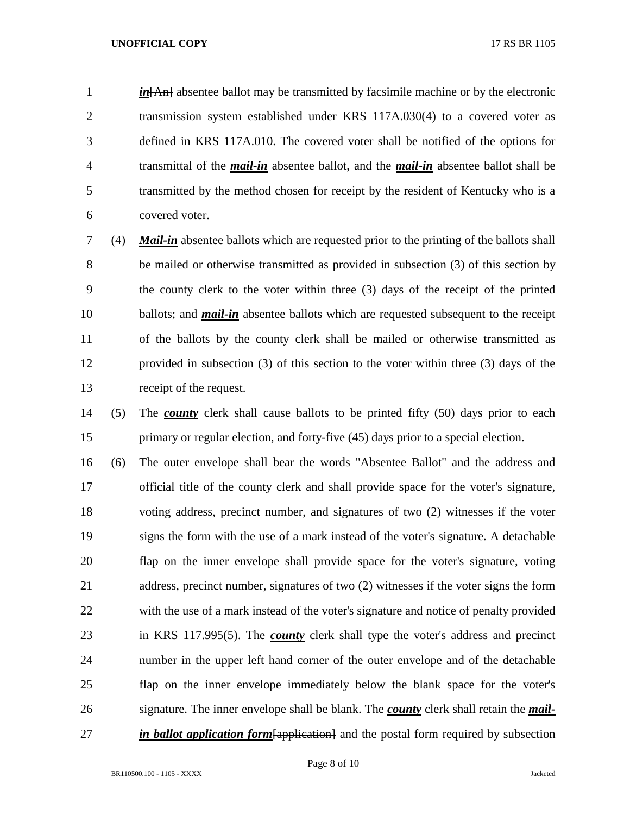*in*<sub>[An]</sub> absentee ballot may be transmitted by facsimile machine or by the electronic transmission system established under KRS 117A.030(4) to a covered voter as defined in KRS 117A.010. The covered voter shall be notified of the options for transmittal of the *mail-in* absentee ballot, and the *mail-in* absentee ballot shall be transmitted by the method chosen for receipt by the resident of Kentucky who is a covered voter.

 (4) *Mail-in* absentee ballots which are requested prior to the printing of the ballots shall be mailed or otherwise transmitted as provided in subsection (3) of this section by the county clerk to the voter within three (3) days of the receipt of the printed ballots; and *mail-in* absentee ballots which are requested subsequent to the receipt of the ballots by the county clerk shall be mailed or otherwise transmitted as provided in subsection (3) of this section to the voter within three (3) days of the receipt of the request.

 (5) The *county* clerk shall cause ballots to be printed fifty (50) days prior to each primary or regular election, and forty-five (45) days prior to a special election.

 (6) The outer envelope shall bear the words "Absentee Ballot" and the address and official title of the county clerk and shall provide space for the voter's signature, voting address, precinct number, and signatures of two (2) witnesses if the voter signs the form with the use of a mark instead of the voter's signature. A detachable flap on the inner envelope shall provide space for the voter's signature, voting address, precinct number, signatures of two (2) witnesses if the voter signs the form with the use of a mark instead of the voter's signature and notice of penalty provided in KRS 117.995(5). The *county* clerk shall type the voter's address and precinct number in the upper left hand corner of the outer envelope and of the detachable flap on the inner envelope immediately below the blank space for the voter's signature. The inner envelope shall be blank. The *county* clerk shall retain the *mail-in ballot application form* [application] and the postal form required by subsection

**BR110500.100 - 1105 - XXXX** Jacketed

Page 8 of 10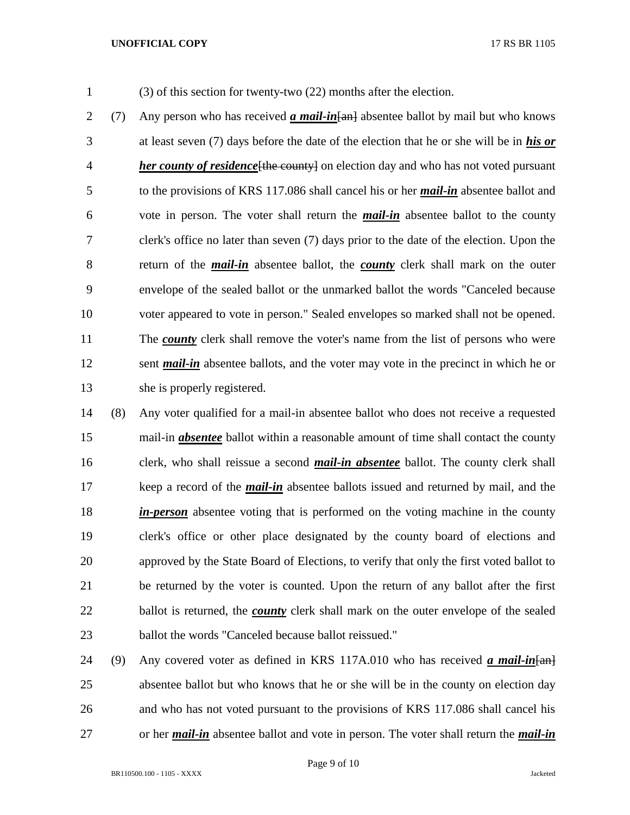(3) of this section for twenty-two (22) months after the election.

 (7) Any person who has received *a mail-in*[an] absentee ballot by mail but who knows at least seven (7) days before the date of the election that he or she will be in *his or her county of residence*[the county] on election day and who has not voted pursuant to the provisions of KRS 117.086 shall cancel his or her *mail-in* absentee ballot and vote in person. The voter shall return the *mail-in* absentee ballot to the county clerk's office no later than seven (7) days prior to the date of the election. Upon the return of the *mail-in* absentee ballot, the *county* clerk shall mark on the outer envelope of the sealed ballot or the unmarked ballot the words "Canceled because voter appeared to vote in person." Sealed envelopes so marked shall not be opened. The *county* clerk shall remove the voter's name from the list of persons who were sent *mail-in* absentee ballots, and the voter may vote in the precinct in which he or she is properly registered.

 (8) Any voter qualified for a mail-in absentee ballot who does not receive a requested mail-in *absentee* ballot within a reasonable amount of time shall contact the county clerk, who shall reissue a second *mail-in absentee* ballot. The county clerk shall keep a record of the *mail-in* absentee ballots issued and returned by mail, and the *in-person* absentee voting that is performed on the voting machine in the county clerk's office or other place designated by the county board of elections and approved by the State Board of Elections, to verify that only the first voted ballot to be returned by the voter is counted. Upon the return of any ballot after the first ballot is returned, the *county* clerk shall mark on the outer envelope of the sealed ballot the words "Canceled because ballot reissued."

24 (9) Any covered voter as defined in KRS 117A.010 who has received *a mail-in* [an] absentee ballot but who knows that he or she will be in the county on election day and who has not voted pursuant to the provisions of KRS 117.086 shall cancel his or her *mail-in* absentee ballot and vote in person. The voter shall return the *mail-in*